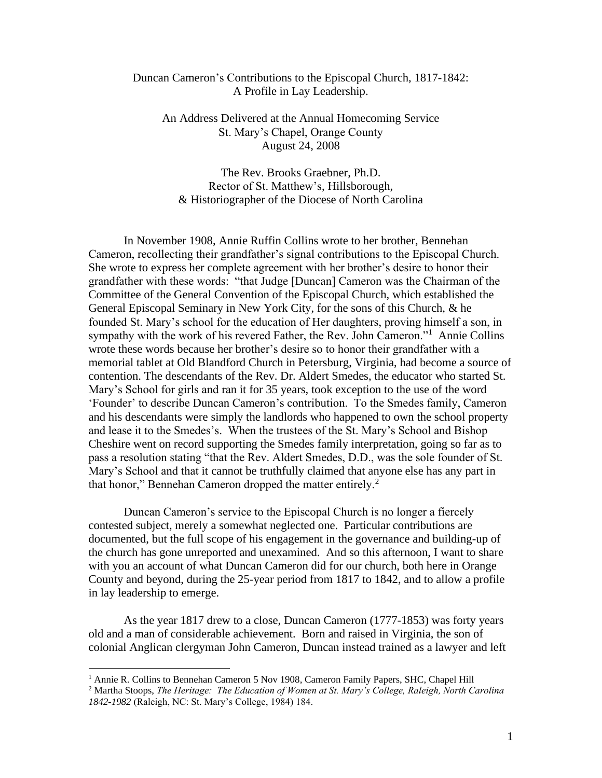## Duncan Cameron's Contributions to the Episcopal Church, 1817-1842: A Profile in Lay Leadership.

An Address Delivered at the Annual Homecoming Service St. Mary's Chapel, Orange County August 24, 2008

The Rev. Brooks Graebner, Ph.D. Rector of St. Matthew's, Hillsborough, & Historiographer of the Diocese of North Carolina

In November 1908, Annie Ruffin Collins wrote to her brother, Bennehan Cameron, recollecting their grandfather's signal contributions to the Episcopal Church. She wrote to express her complete agreement with her brother's desire to honor their grandfather with these words: "that Judge [Duncan] Cameron was the Chairman of the Committee of the General Convention of the Episcopal Church, which established the General Episcopal Seminary in New York City, for the sons of this Church, & he founded St. Mary's school for the education of Her daughters, proving himself a son, in sympathy with the work of his revered Father, the Rev. John Cameron."<sup>1</sup> Annie Collins wrote these words because her brother's desire so to honor their grandfather with a memorial tablet at Old Blandford Church in Petersburg, Virginia, had become a source of contention. The descendants of the Rev. Dr. Aldert Smedes, the educator who started St. Mary's School for girls and ran it for 35 years, took exception to the use of the word 'Founder' to describe Duncan Cameron's contribution. To the Smedes family, Cameron and his descendants were simply the landlords who happened to own the school property and lease it to the Smedes's. When the trustees of the St. Mary's School and Bishop Cheshire went on record supporting the Smedes family interpretation, going so far as to pass a resolution stating "that the Rev. Aldert Smedes, D.D., was the sole founder of St. Mary's School and that it cannot be truthfully claimed that anyone else has any part in that honor," Bennehan Cameron dropped the matter entirely.<sup>2</sup>

Duncan Cameron's service to the Episcopal Church is no longer a fiercely contested subject, merely a somewhat neglected one. Particular contributions are documented, but the full scope of his engagement in the governance and building-up of the church has gone unreported and unexamined. And so this afternoon, I want to share with you an account of what Duncan Cameron did for our church, both here in Orange County and beyond, during the 25-year period from 1817 to 1842, and to allow a profile in lay leadership to emerge.

As the year 1817 drew to a close, Duncan Cameron (1777-1853) was forty years old and a man of considerable achievement. Born and raised in Virginia, the son of colonial Anglican clergyman John Cameron, Duncan instead trained as a lawyer and left

<sup>&</sup>lt;sup>1</sup> Annie R. Collins to Bennehan Cameron 5 Nov 1908, Cameron Family Papers, SHC, Chapel Hill

<sup>2</sup> Martha Stoops, *The Heritage: The Education of Women at St. Mary's College, Raleigh, North Carolina 1842-1982* (Raleigh, NC: St. Mary's College, 1984) 184.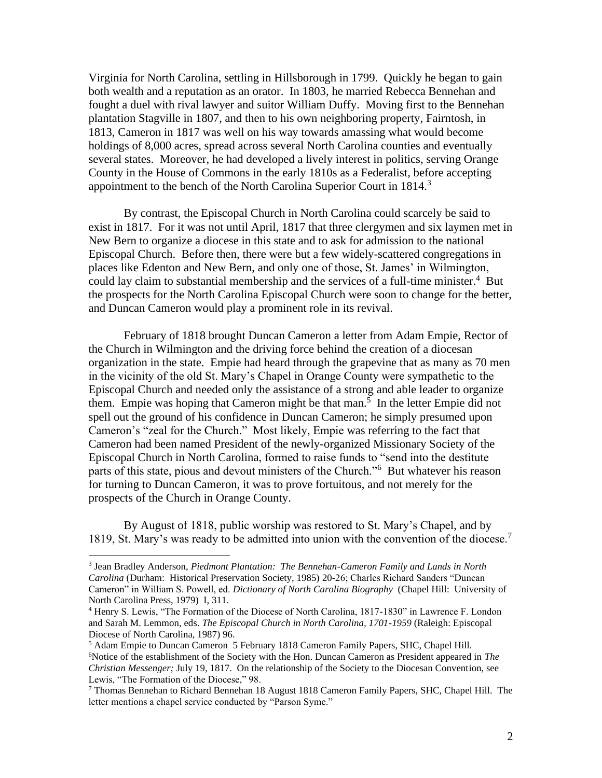Virginia for North Carolina, settling in Hillsborough in 1799. Quickly he began to gain both wealth and a reputation as an orator. In 1803, he married Rebecca Bennehan and fought a duel with rival lawyer and suitor William Duffy. Moving first to the Bennehan plantation Stagville in 1807, and then to his own neighboring property, Fairntosh, in 1813, Cameron in 1817 was well on his way towards amassing what would become holdings of 8,000 acres, spread across several North Carolina counties and eventually several states. Moreover, he had developed a lively interest in politics, serving Orange County in the House of Commons in the early 1810s as a Federalist, before accepting appointment to the bench of the North Carolina Superior Court in 1814.<sup>3</sup>

By contrast, the Episcopal Church in North Carolina could scarcely be said to exist in 1817. For it was not until April, 1817 that three clergymen and six laymen met in New Bern to organize a diocese in this state and to ask for admission to the national Episcopal Church. Before then, there were but a few widely-scattered congregations in places like Edenton and New Bern, and only one of those, St. James' in Wilmington, could lay claim to substantial membership and the services of a full-time minister.<sup>4</sup> But the prospects for the North Carolina Episcopal Church were soon to change for the better, and Duncan Cameron would play a prominent role in its revival.

February of 1818 brought Duncan Cameron a letter from Adam Empie, Rector of the Church in Wilmington and the driving force behind the creation of a diocesan organization in the state. Empie had heard through the grapevine that as many as 70 men in the vicinity of the old St. Mary's Chapel in Orange County were sympathetic to the Episcopal Church and needed only the assistance of a strong and able leader to organize them. Empie was hoping that Cameron might be that man.<sup>5</sup> In the letter Empie did not spell out the ground of his confidence in Duncan Cameron; he simply presumed upon Cameron's "zeal for the Church." Most likely, Empie was referring to the fact that Cameron had been named President of the newly-organized Missionary Society of the Episcopal Church in North Carolina, formed to raise funds to "send into the destitute parts of this state, pious and devout ministers of the Church."<sup>6</sup> But whatever his reason for turning to Duncan Cameron, it was to prove fortuitous, and not merely for the prospects of the Church in Orange County.

By August of 1818, public worship was restored to St. Mary's Chapel, and by 1819, St. Mary's was ready to be admitted into union with the convention of the diocese.<sup>7</sup>

<sup>3</sup> Jean Bradley Anderson, *Piedmont Plantation: The Bennehan-Cameron Family and Lands in North Carolina* (Durham: Historical Preservation Society, 1985) 20-26; Charles Richard Sanders "Duncan Cameron" in William S. Powell, ed. *Dictionary of North Carolina Biography* (Chapel Hill: University of North Carolina Press, 1979) I, 311.

<sup>4</sup> Henry S. Lewis, "The Formation of the Diocese of North Carolina, 1817-1830" in Lawrence F. London and Sarah M. Lemmon, eds. *The Episcopal Church in North Carolina, 1701-1959* (Raleigh: Episcopal Diocese of North Carolina, 1987) 96.

<sup>5</sup> Adam Empie to Duncan Cameron 5 February 1818 Cameron Family Papers, SHC, Chapel Hill. <sup>6</sup>Notice of the establishment of the Society with the Hon. Duncan Cameron as President appeared in *The Christian Messenger;* July 19, 1817. On the relationship of the Society to the Diocesan Convention, see Lewis, "The Formation of the Diocese," 98.

<sup>7</sup> Thomas Bennehan to Richard Bennehan 18 August 1818 Cameron Family Papers, SHC, Chapel Hill. The letter mentions a chapel service conducted by "Parson Syme."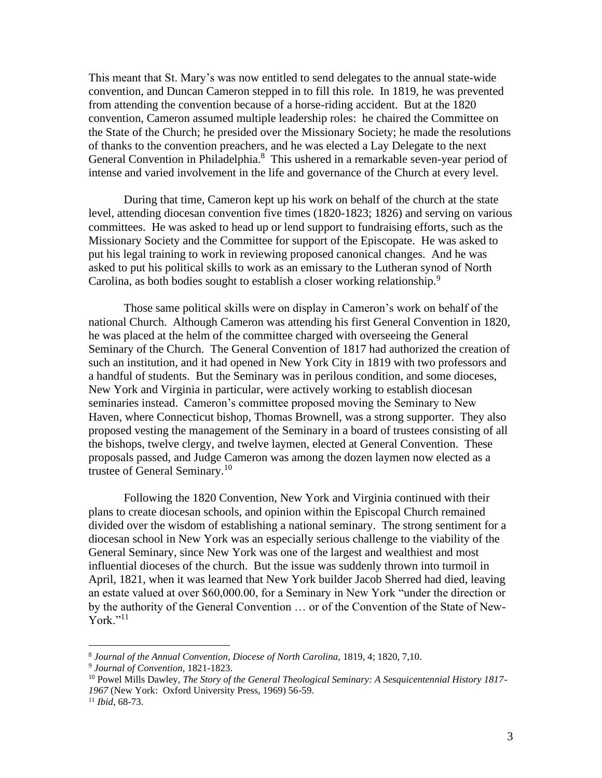This meant that St. Mary's was now entitled to send delegates to the annual state-wide convention, and Duncan Cameron stepped in to fill this role. In 1819, he was prevented from attending the convention because of a horse-riding accident. But at the 1820 convention, Cameron assumed multiple leadership roles: he chaired the Committee on the State of the Church; he presided over the Missionary Society; he made the resolutions of thanks to the convention preachers, and he was elected a Lay Delegate to the next General Convention in Philadelphia.<sup>8</sup> This ushered in a remarkable seven-year period of intense and varied involvement in the life and governance of the Church at every level.

During that time, Cameron kept up his work on behalf of the church at the state level, attending diocesan convention five times (1820-1823; 1826) and serving on various committees. He was asked to head up or lend support to fundraising efforts, such as the Missionary Society and the Committee for support of the Episcopate. He was asked to put his legal training to work in reviewing proposed canonical changes. And he was asked to put his political skills to work as an emissary to the Lutheran synod of North Carolina, as both bodies sought to establish a closer working relationship.<sup>9</sup>

Those same political skills were on display in Cameron's work on behalf of the national Church. Although Cameron was attending his first General Convention in 1820, he was placed at the helm of the committee charged with overseeing the General Seminary of the Church. The General Convention of 1817 had authorized the creation of such an institution, and it had opened in New York City in 1819 with two professors and a handful of students. But the Seminary was in perilous condition, and some dioceses, New York and Virginia in particular, were actively working to establish diocesan seminaries instead. Cameron's committee proposed moving the Seminary to New Haven, where Connecticut bishop, Thomas Brownell, was a strong supporter. They also proposed vesting the management of the Seminary in a board of trustees consisting of all the bishops, twelve clergy, and twelve laymen, elected at General Convention. These proposals passed, and Judge Cameron was among the dozen laymen now elected as a trustee of General Seminary.<sup>10</sup>

Following the 1820 Convention, New York and Virginia continued with their plans to create diocesan schools, and opinion within the Episcopal Church remained divided over the wisdom of establishing a national seminary. The strong sentiment for a diocesan school in New York was an especially serious challenge to the viability of the General Seminary, since New York was one of the largest and wealthiest and most influential dioceses of the church. But the issue was suddenly thrown into turmoil in April, 1821, when it was learned that New York builder Jacob Sherred had died, leaving an estate valued at over \$60,000.00, for a Seminary in New York "under the direction or by the authority of the General Convention … or of the Convention of the State of New- $Y$ ork." $^{11}$ 

<sup>8</sup> *Journal of the Annual Convention, Diocese of North Carolina,* 1819, 4; 1820, 7,10.

<sup>9</sup> *Journal of Convention,* 1821-1823.

<sup>10</sup> Powel Mills Dawley, *The Story of the General Theological Seminary: A Sesquicentennial History 1817- 1967* (New York: Oxford University Press, 1969) 56-59.

<sup>11</sup> *Ibid,* 68-73.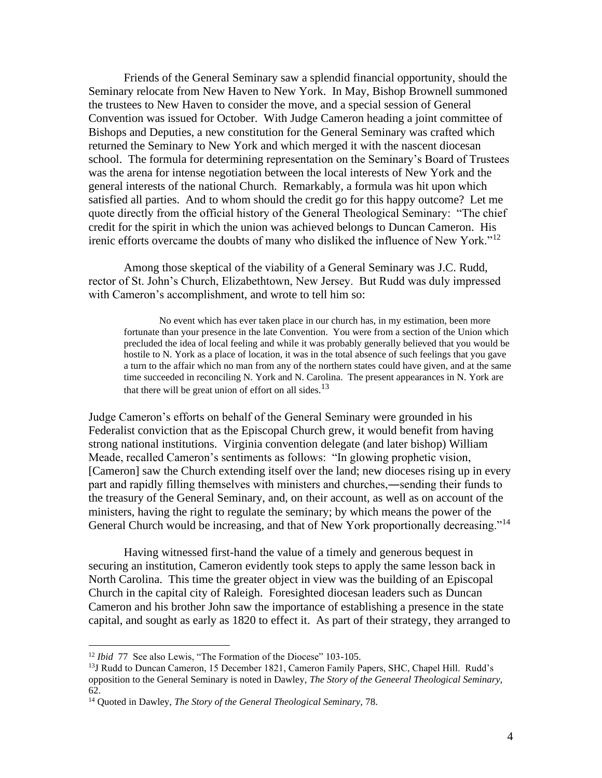Friends of the General Seminary saw a splendid financial opportunity, should the Seminary relocate from New Haven to New York. In May, Bishop Brownell summoned the trustees to New Haven to consider the move, and a special session of General Convention was issued for October. With Judge Cameron heading a joint committee of Bishops and Deputies, a new constitution for the General Seminary was crafted which returned the Seminary to New York and which merged it with the nascent diocesan school. The formula for determining representation on the Seminary's Board of Trustees was the arena for intense negotiation between the local interests of New York and the general interests of the national Church. Remarkably, a formula was hit upon which satisfied all parties. And to whom should the credit go for this happy outcome? Let me quote directly from the official history of the General Theological Seminary: "The chief credit for the spirit in which the union was achieved belongs to Duncan Cameron. His irenic efforts overcame the doubts of many who disliked the influence of New York."<sup>12</sup>

Among those skeptical of the viability of a General Seminary was J.C. Rudd, rector of St. John's Church, Elizabethtown, New Jersey. But Rudd was duly impressed with Cameron's accomplishment, and wrote to tell him so:

No event which has ever taken place in our church has, in my estimation, been more fortunate than your presence in the late Convention. You were from a section of the Union which precluded the idea of local feeling and while it was probably generally believed that you would be hostile to N. York as a place of location, it was in the total absence of such feelings that you gave a turn to the affair which no man from any of the northern states could have given, and at the same time succeeded in reconciling N. York and N. Carolina. The present appearances in N. York are that there will be great union of effort on all sides. $13$ 

Judge Cameron's efforts on behalf of the General Seminary were grounded in his Federalist conviction that as the Episcopal Church grew, it would benefit from having strong national institutions. Virginia convention delegate (and later bishop) William Meade, recalled Cameron's sentiments as follows: "In glowing prophetic vision, [Cameron] saw the Church extending itself over the land; new dioceses rising up in every part and rapidly filling themselves with ministers and churches,―sending their funds to the treasury of the General Seminary, and, on their account, as well as on account of the ministers, having the right to regulate the seminary; by which means the power of the General Church would be increasing, and that of New York proportionally decreasing."<sup>14</sup>

Having witnessed first-hand the value of a timely and generous bequest in securing an institution, Cameron evidently took steps to apply the same lesson back in North Carolina. This time the greater object in view was the building of an Episcopal Church in the capital city of Raleigh. Foresighted diocesan leaders such as Duncan Cameron and his brother John saw the importance of establishing a presence in the state capital, and sought as early as 1820 to effect it. As part of their strategy, they arranged to

<sup>12</sup> *Ibid* 77See also Lewis, "The Formation of the Diocese" 103-105.

<sup>&</sup>lt;sup>13</sup>J Rudd to Duncan Cameron, 15 December 1821, Cameron Family Papers, SHC, Chapel Hill. Rudd's opposition to the General Seminary is noted in Dawley, *The Story of the Geneeral Theological Seminary,* 62.

<sup>14</sup> Quoted in Dawley, *The Story of the General Theological Seminary,* 78.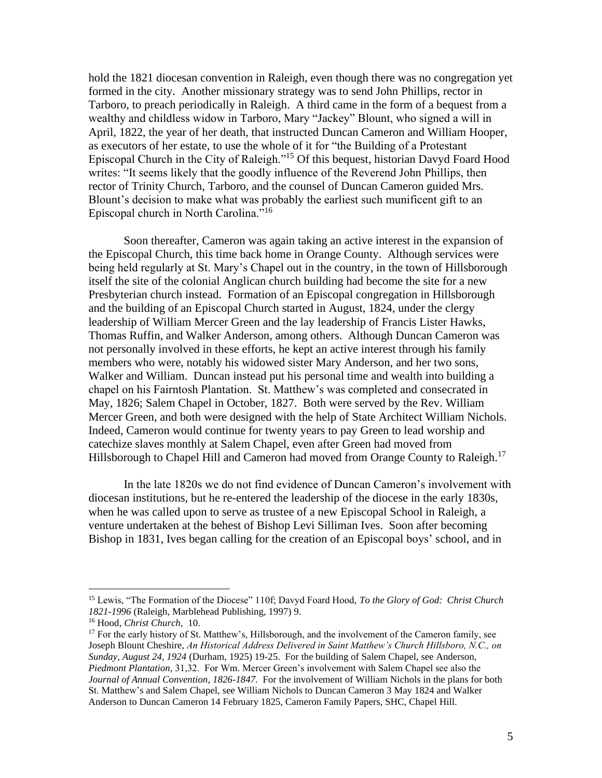hold the 1821 diocesan convention in Raleigh, even though there was no congregation yet formed in the city. Another missionary strategy was to send John Phillips, rector in Tarboro, to preach periodically in Raleigh. A third came in the form of a bequest from a wealthy and childless widow in Tarboro, Mary "Jackey" Blount, who signed a will in April, 1822, the year of her death, that instructed Duncan Cameron and William Hooper, as executors of her estate, to use the whole of it for "the Building of a Protestant Episcopal Church in the City of Raleigh."<sup>15</sup> Of this bequest, historian Davyd Foard Hood writes: "It seems likely that the goodly influence of the Reverend John Phillips, then rector of Trinity Church, Tarboro, and the counsel of Duncan Cameron guided Mrs. Blount's decision to make what was probably the earliest such munificent gift to an Episcopal church in North Carolina."<sup>16</sup>

Soon thereafter, Cameron was again taking an active interest in the expansion of the Episcopal Church, this time back home in Orange County. Although services were being held regularly at St. Mary's Chapel out in the country, in the town of Hillsborough itself the site of the colonial Anglican church building had become the site for a new Presbyterian church instead. Formation of an Episcopal congregation in Hillsborough and the building of an Episcopal Church started in August, 1824, under the clergy leadership of William Mercer Green and the lay leadership of Francis Lister Hawks, Thomas Ruffin, and Walker Anderson, among others. Although Duncan Cameron was not personally involved in these efforts, he kept an active interest through his family members who were, notably his widowed sister Mary Anderson, and her two sons, Walker and William. Duncan instead put his personal time and wealth into building a chapel on his Fairntosh Plantation. St. Matthew's was completed and consecrated in May, 1826; Salem Chapel in October, 1827. Both were served by the Rev. William Mercer Green, and both were designed with the help of State Architect William Nichols. Indeed, Cameron would continue for twenty years to pay Green to lead worship and catechize slaves monthly at Salem Chapel, even after Green had moved from Hillsborough to Chapel Hill and Cameron had moved from Orange County to Raleigh.<sup>17</sup>

In the late 1820s we do not find evidence of Duncan Cameron's involvement with diocesan institutions, but he re-entered the leadership of the diocese in the early 1830s, when he was called upon to serve as trustee of a new Episcopal School in Raleigh, a venture undertaken at the behest of Bishop Levi Silliman Ives. Soon after becoming Bishop in 1831, Ives began calling for the creation of an Episcopal boys' school, and in

<sup>15</sup> Lewis, "The Formation of the Diocese" 110f; Davyd Foard Hood, *To the Glory of God: Christ Church 1821-1996* (Raleigh, Marblehead Publishing, 1997) 9.

<sup>16</sup> Hood, *Christ Church,* 10.

 $17$  For the early history of St. Matthew's, Hillsborough, and the involvement of the Cameron family, see Joseph Blount Cheshire, *An Historical Address Delivered in Saint Matthew's Church Hillsboro, N.C., on Sunday, August 24, 1924* (Durham, 1925) 19-25. For the building of Salem Chapel, see Anderson, *Piedmont Plantation,* 31,32. For Wm. Mercer Green's involvement with Salem Chapel see also the *Journal of Annual Convention, 1826-1847.* For the involvement of William Nichols in the plans for both St. Matthew's and Salem Chapel, see William Nichols to Duncan Cameron 3 May 1824 and Walker Anderson to Duncan Cameron 14 February 1825, Cameron Family Papers, SHC, Chapel Hill.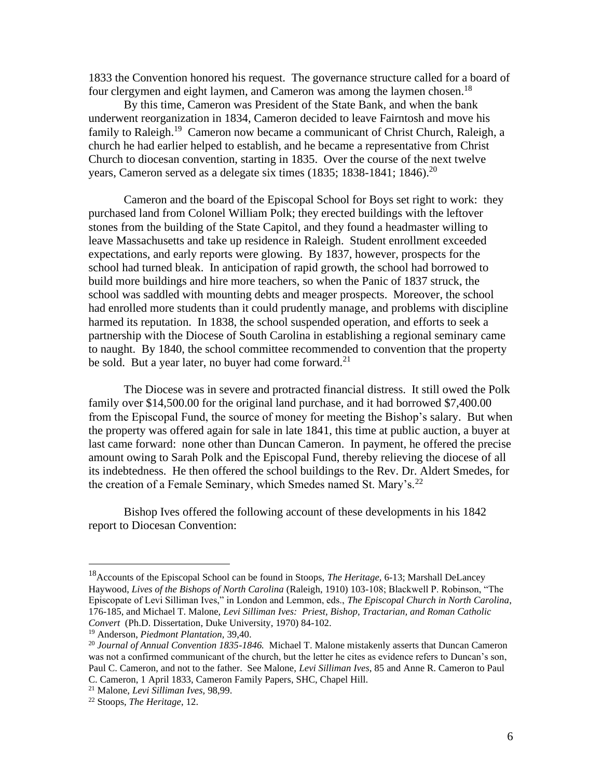1833 the Convention honored his request. The governance structure called for a board of four clergymen and eight laymen, and Cameron was among the laymen chosen.<sup>18</sup>

By this time, Cameron was President of the State Bank, and when the bank underwent reorganization in 1834, Cameron decided to leave Fairntosh and move his family to Raleigh.<sup>19</sup> Cameron now became a communicant of Christ Church, Raleigh, a church he had earlier helped to establish, and he became a representative from Christ Church to diocesan convention, starting in 1835. Over the course of the next twelve years, Cameron served as a delegate six times (1835; 1838-1841; 1846).<sup>20</sup>

Cameron and the board of the Episcopal School for Boys set right to work: they purchased land from Colonel William Polk; they erected buildings with the leftover stones from the building of the State Capitol, and they found a headmaster willing to leave Massachusetts and take up residence in Raleigh. Student enrollment exceeded expectations, and early reports were glowing. By 1837, however, prospects for the school had turned bleak. In anticipation of rapid growth, the school had borrowed to build more buildings and hire more teachers, so when the Panic of 1837 struck, the school was saddled with mounting debts and meager prospects. Moreover, the school had enrolled more students than it could prudently manage, and problems with discipline harmed its reputation. In 1838, the school suspended operation, and efforts to seek a partnership with the Diocese of South Carolina in establishing a regional seminary came to naught. By 1840, the school committee recommended to convention that the property be sold. But a year later, no buyer had come forward.<sup>21</sup>

The Diocese was in severe and protracted financial distress. It still owed the Polk family over \$14,500.00 for the original land purchase, and it had borrowed \$7,400.00 from the Episcopal Fund, the source of money for meeting the Bishop's salary. But when the property was offered again for sale in late 1841, this time at public auction, a buyer at last came forward: none other than Duncan Cameron. In payment, he offered the precise amount owing to Sarah Polk and the Episcopal Fund, thereby relieving the diocese of all its indebtedness. He then offered the school buildings to the Rev. Dr. Aldert Smedes, for the creation of a Female Seminary, which Smedes named St. Mary's.<sup>22</sup>

Bishop Ives offered the following account of these developments in his 1842 report to Diocesan Convention:

<sup>18</sup>Accounts of the Episcopal School can be found in Stoops, *The Heritage,* 6-13; Marshall DeLancey Haywood, *Lives of the Bishops of North Carolina* (Raleigh, 1910) 103-108; Blackwell P. Robinson, "The Episcopate of Levi Silliman Ives," in London and Lemmon, eds., *The Episcopal Church in North Carolina*, 176-185, and Michael T. Malone, *Levi Silliman Ives: Priest, Bishop, Tractarian, and Roman Catholic Convert* (Ph.D. Dissertation, Duke University, 1970) 84-102.

<sup>19</sup> Anderson, *Piedmont Plantation,* 39,40.

<sup>20</sup> *Journal of Annual Convention 1835-1846.* Michael T. Malone mistakenly asserts that Duncan Cameron was not a confirmed communicant of the church, but the letter he cites as evidence refers to Duncan's son, Paul C. Cameron, and not to the father. See Malone, *Levi Silliman Ives*, 85 and Anne R. Cameron to Paul C. Cameron, 1 April 1833, Cameron Family Papers, SHC, Chapel Hill.

<sup>21</sup> Malone, *Levi Silliman Ives,* 98,99.

<sup>22</sup> Stoops, *The Heritage*, 12.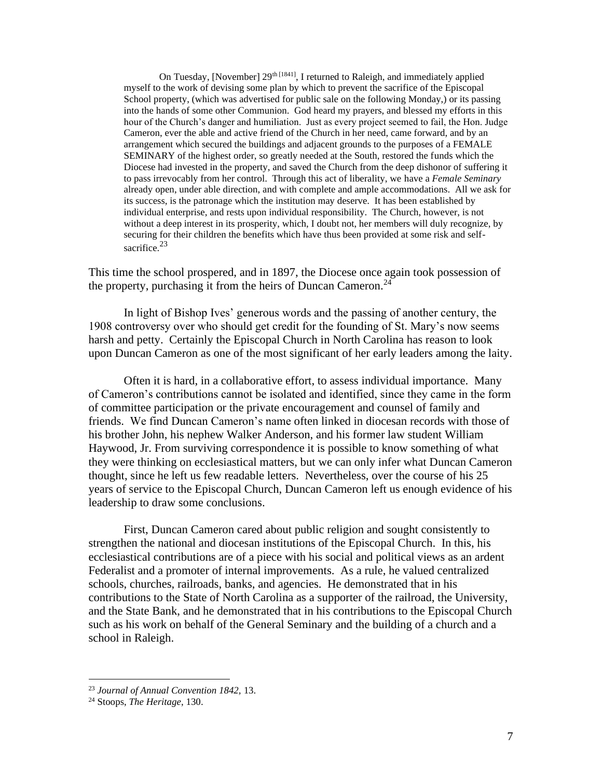On Tuesday, [November]  $29<sup>th [1841]</sup>$ , I returned to Raleigh, and immediately applied myself to the work of devising some plan by which to prevent the sacrifice of the Episcopal School property, (which was advertised for public sale on the following Monday,) or its passing into the hands of some other Communion. God heard my prayers, and blessed my efforts in this hour of the Church's danger and humiliation. Just as every project seemed to fail, the Hon. Judge Cameron, ever the able and active friend of the Church in her need, came forward, and by an arrangement which secured the buildings and adjacent grounds to the purposes of a FEMALE SEMINARY of the highest order, so greatly needed at the South, restored the funds which the Diocese had invested in the property, and saved the Church from the deep dishonor of suffering it to pass irrevocably from her control. Through this act of liberality, we have a *Female Seminary* already open, under able direction, and with complete and ample accommodations. All we ask for its success, is the patronage which the institution may deserve. It has been established by individual enterprise, and rests upon individual responsibility. The Church, however, is not without a deep interest in its prosperity, which, I doubt not, her members will duly recognize, by securing for their children the benefits which have thus been provided at some risk and selfsacrifice.<sup>23</sup>

This time the school prospered, and in 1897, the Diocese once again took possession of the property, purchasing it from the heirs of Duncan Cameron.<sup>24</sup>

In light of Bishop Ives' generous words and the passing of another century, the 1908 controversy over who should get credit for the founding of St. Mary's now seems harsh and petty. Certainly the Episcopal Church in North Carolina has reason to look upon Duncan Cameron as one of the most significant of her early leaders among the laity.

Often it is hard, in a collaborative effort, to assess individual importance. Many of Cameron's contributions cannot be isolated and identified, since they came in the form of committee participation or the private encouragement and counsel of family and friends. We find Duncan Cameron's name often linked in diocesan records with those of his brother John, his nephew Walker Anderson, and his former law student William Haywood, Jr. From surviving correspondence it is possible to know something of what they were thinking on ecclesiastical matters, but we can only infer what Duncan Cameron thought, since he left us few readable letters. Nevertheless, over the course of his 25 years of service to the Episcopal Church, Duncan Cameron left us enough evidence of his leadership to draw some conclusions.

First, Duncan Cameron cared about public religion and sought consistently to strengthen the national and diocesan institutions of the Episcopal Church. In this, his ecclesiastical contributions are of a piece with his social and political views as an ardent Federalist and a promoter of internal improvements. As a rule, he valued centralized schools, churches, railroads, banks, and agencies. He demonstrated that in his contributions to the State of North Carolina as a supporter of the railroad, the University, and the State Bank, and he demonstrated that in his contributions to the Episcopal Church such as his work on behalf of the General Seminary and the building of a church and a school in Raleigh.

<sup>23</sup> *Journal of Annual Convention 1842,* 13.

<sup>24</sup> Stoops, *The Heritage*, 130.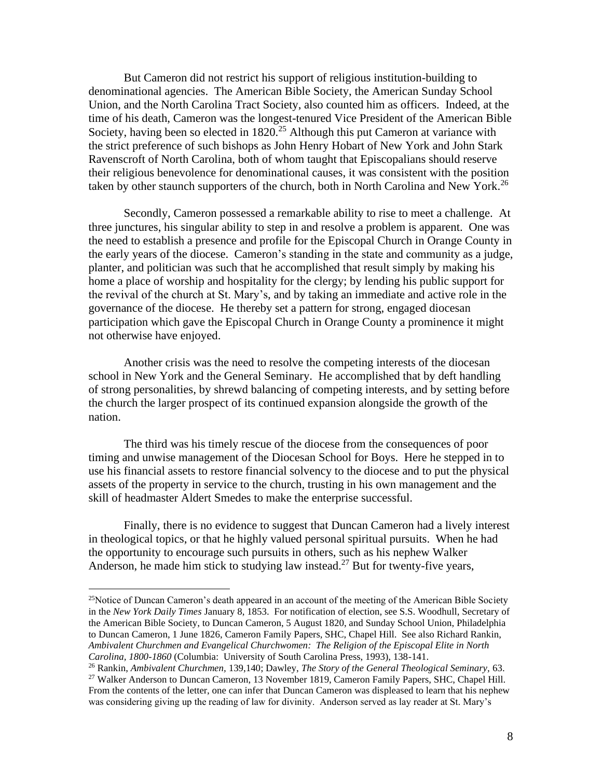But Cameron did not restrict his support of religious institution-building to denominational agencies. The American Bible Society, the American Sunday School Union, and the North Carolina Tract Society, also counted him as officers. Indeed, at the time of his death, Cameron was the longest-tenured Vice President of the American Bible Society, having been so elected in  $1820$ <sup>25</sup> Although this put Cameron at variance with the strict preference of such bishops as John Henry Hobart of New York and John Stark Ravenscroft of North Carolina, both of whom taught that Episcopalians should reserve their religious benevolence for denominational causes, it was consistent with the position taken by other staunch supporters of the church, both in North Carolina and New York.<sup>26</sup>

Secondly, Cameron possessed a remarkable ability to rise to meet a challenge. At three junctures, his singular ability to step in and resolve a problem is apparent. One was the need to establish a presence and profile for the Episcopal Church in Orange County in the early years of the diocese. Cameron's standing in the state and community as a judge, planter, and politician was such that he accomplished that result simply by making his home a place of worship and hospitality for the clergy; by lending his public support for the revival of the church at St. Mary's, and by taking an immediate and active role in the governance of the diocese. He thereby set a pattern for strong, engaged diocesan participation which gave the Episcopal Church in Orange County a prominence it might not otherwise have enjoyed.

Another crisis was the need to resolve the competing interests of the diocesan school in New York and the General Seminary. He accomplished that by deft handling of strong personalities, by shrewd balancing of competing interests, and by setting before the church the larger prospect of its continued expansion alongside the growth of the nation.

The third was his timely rescue of the diocese from the consequences of poor timing and unwise management of the Diocesan School for Boys. Here he stepped in to use his financial assets to restore financial solvency to the diocese and to put the physical assets of the property in service to the church, trusting in his own management and the skill of headmaster Aldert Smedes to make the enterprise successful.

Finally, there is no evidence to suggest that Duncan Cameron had a lively interest in theological topics, or that he highly valued personal spiritual pursuits. When he had the opportunity to encourage such pursuits in others, such as his nephew Walker Anderson, he made him stick to studying law instead.<sup>27</sup> But for twenty-five years,

 $25$ Notice of Duncan Cameron's death appeared in an account of the meeting of the American Bible Society in the *New York Daily Times* January 8, 1853. For notification of election, see S.S. Woodhull, Secretary of the American Bible Society, to Duncan Cameron, 5 August 1820, and Sunday School Union, Philadelphia to Duncan Cameron, 1 June 1826, Cameron Family Papers, SHC, Chapel Hill. See also Richard Rankin, *Ambivalent Churchmen and Evangelical Churchwomen: The Religion of the Episcopal Elite in North Carolina, 1800-1860* (Columbia: University of South Carolina Press, 1993), 138-141.

<sup>26</sup> Rankin, *Ambivalent Churchmen,* 139,140; Dawley, *The Story of the General Theological Seminary,* 63.

<sup>&</sup>lt;sup>27</sup> Walker Anderson to Duncan Cameron, 13 November 1819, Cameron Family Papers, SHC, Chapel Hill. From the contents of the letter, one can infer that Duncan Cameron was displeased to learn that his nephew was considering giving up the reading of law for divinity. Anderson served as lay reader at St. Mary's